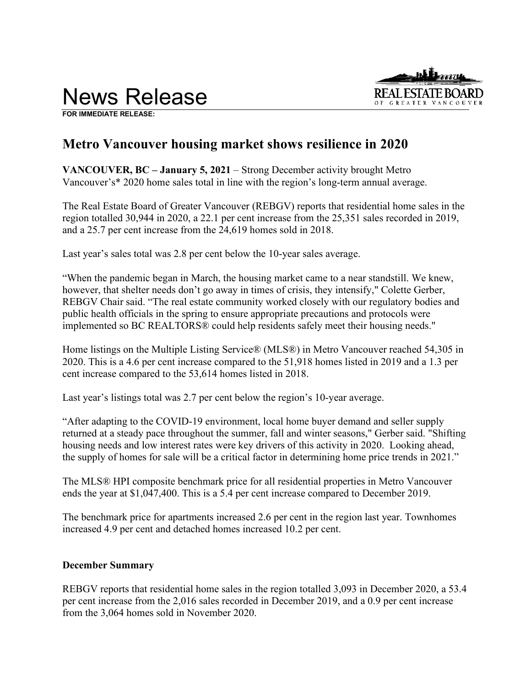

**FOR IMMEDIATE RELEASE:** 

# **Metro Vancouver housing market shows resilience in 2020**

**VANCOUVER, BC – January 5, 2021** – Strong December activity brought Metro Vancouver's\* 2020 home sales total in line with the region's long-term annual average.

The Real Estate Board of Greater Vancouver (REBGV) reports that residential home sales in the region totalled 30,944 in 2020, a 22.1 per cent increase from the 25,351 sales recorded in 2019, and a 25.7 per cent increase from the 24,619 homes sold in 2018.

Last year's sales total was 2.8 per cent below the 10-year sales average.

"When the pandemic began in March, the housing market came to a near standstill. We knew, however, that shelter needs don't go away in times of crisis, they intensify," Colette Gerber, REBGV Chair said. "The real estate community worked closely with our regulatory bodies and public health officials in the spring to ensure appropriate precautions and protocols were implemented so BC REALTORS® could help residents safely meet their housing needs."

Home listings on the Multiple Listing Service® (MLS®) in Metro Vancouver reached 54,305 in 2020. This is a 4.6 per cent increase compared to the 51,918 homes listed in 2019 and a 1.3 per cent increase compared to the 53,614 homes listed in 2018.

Last year's listings total was 2.7 per cent below the region's 10-year average.

"After adapting to the COVID-19 environment, local home buyer demand and seller supply returned at a steady pace throughout the summer, fall and winter seasons," Gerber said. "Shifting housing needs and low interest rates were key drivers of this activity in 2020. Looking ahead, the supply of homes for sale will be a critical factor in determining home price trends in 2021."

The MLS® HPI composite benchmark price for all residential properties in Metro Vancouver ends the year at \$1,047,400. This is a 5.4 per cent increase compared to December 2019.

The benchmark price for apartments increased 2.6 per cent in the region last year. Townhomes increased 4.9 per cent and detached homes increased 10.2 per cent.

# **December Summary**

REBGV reports that residential home sales in the region totalled 3,093 in December 2020, a 53.4 per cent increase from the 2,016 sales recorded in December 2019, and a 0.9 per cent increase from the 3,064 homes sold in November 2020.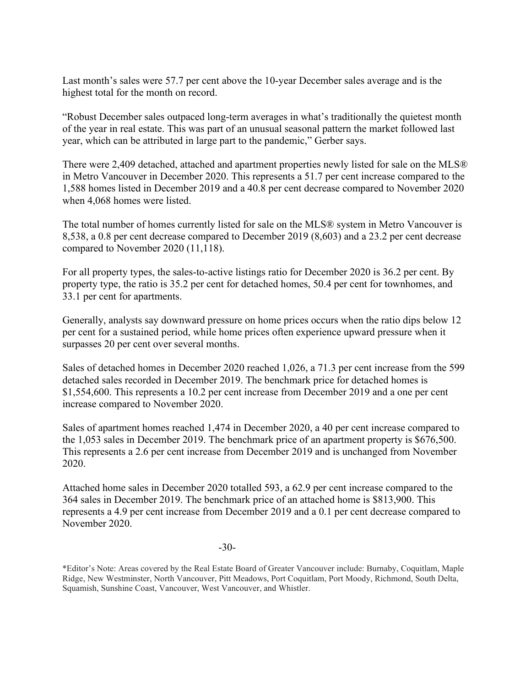Last month's sales were 57.7 per cent above the 10-year December sales average and is the highest total for the month on record.

"Robust December sales outpaced long-term averages in what's traditionally the quietest month of the year in real estate. This was part of an unusual seasonal pattern the market followed last year, which can be attributed in large part to the pandemic," Gerber says.

There were 2,409 detached, attached and apartment properties newly listed for sale on the MLS® in Metro Vancouver in December 2020. This represents a 51.7 per cent increase compared to the 1,588 homes listed in December 2019 and a 40.8 per cent decrease compared to November 2020 when 4,068 homes were listed.

The total number of homes currently listed for sale on the MLS® system in Metro Vancouver is 8,538, a 0.8 per cent decrease compared to December 2019 (8,603) and a 23.2 per cent decrease compared to November 2020 (11,118).

For all property types, the sales-to-active listings ratio for December 2020 is 36.2 per cent. By property type, the ratio is 35.2 per cent for detached homes, 50.4 per cent for townhomes, and 33.1 per cent for apartments.

Generally, analysts say downward pressure on home prices occurs when the ratio dips below 12 per cent for a sustained period, while home prices often experience upward pressure when it surpasses 20 per cent over several months.

Sales of detached homes in December 2020 reached 1,026, a 71.3 per cent increase from the 599 detached sales recorded in December 2019. The benchmark price for detached homes is \$1,554,600. This represents a 10.2 per cent increase from December 2019 and a one per cent increase compared to November 2020.

Sales of apartment homes reached 1,474 in December 2020, a 40 per cent increase compared to the 1,053 sales in December 2019. The benchmark price of an apartment property is \$676,500. This represents a 2.6 per cent increase from December 2019 and is unchanged from November 2020.

Attached home sales in December 2020 totalled 593, a 62.9 per cent increase compared to the 364 sales in December 2019. The benchmark price of an attached home is \$813,900. This represents a 4.9 per cent increase from December 2019 and a 0.1 per cent decrease compared to November 2020.

-30-

\*Editor's Note: Areas covered by the Real Estate Board of Greater Vancouver include: Burnaby, Coquitlam, Maple Ridge, New Westminster, North Vancouver, Pitt Meadows, Port Coquitlam, Port Moody, Richmond, South Delta, Squamish, Sunshine Coast, Vancouver, West Vancouver, and Whistler.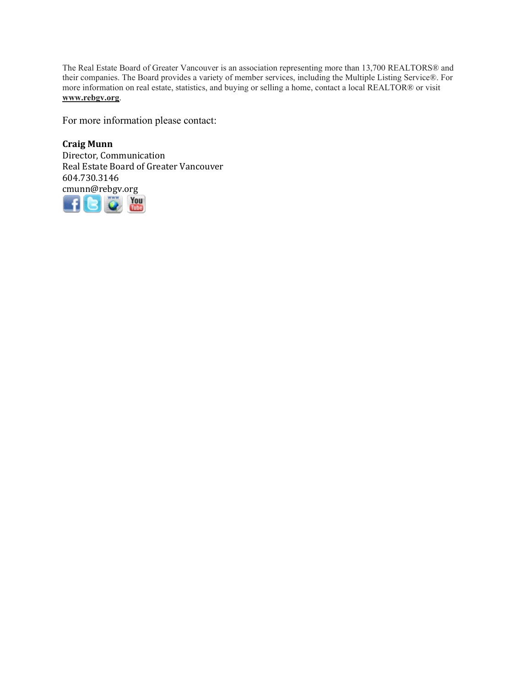The Real Estate Board of Greater Vancouver is an association representing more than 13,700 REALTORS® and their companies. The Board provides a variety of member services, including the Multiple Listing Service®. For more information on real estate, statistics, and buying or selling a home, contact a local REALTOR® or visit **www.rebgv.org**.

For more information please contact:

**Craig Munn** Director, Communication Real Estate Board of Greater Vancouver 604.730.3146 [cmu](http://www.facebook.com/rebgv)[nn@r](http://www.twitter.com/rebgv)[ebgv.](http://www.rebgv.org/)[org](http://www.youtube.com/user/rebgv)

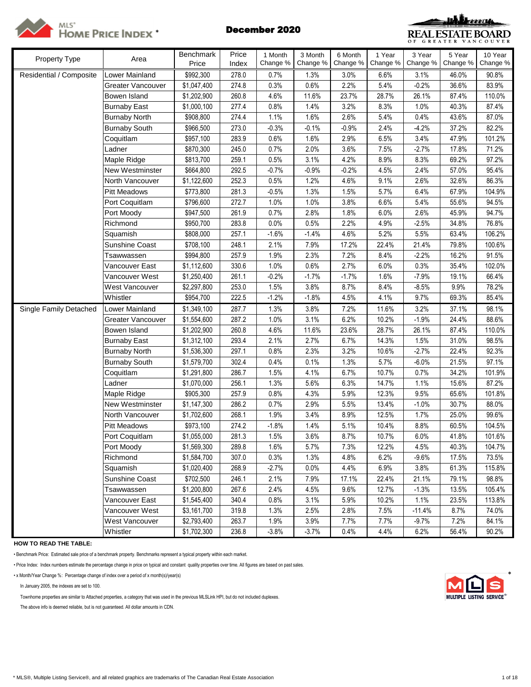



| Property Type           | Area                     | Benchmark   | Price | 1 Month  | 3 Month  | 6 Month  | 1 Year   | 3 Year   | 5 Year   | 10 Year  |
|-------------------------|--------------------------|-------------|-------|----------|----------|----------|----------|----------|----------|----------|
|                         |                          | Price       | Index | Change % | Change % | Change % | Change % | Change % | Change % | Change % |
| Residential / Composite | Lower Mainland           | \$992,300   | 278.0 | 0.7%     | 1.3%     | 3.0%     | 6.6%     | 3.1%     | 46.0%    | 90.8%    |
|                         | <b>Greater Vancouver</b> | \$1,047,400 | 274.8 | 0.3%     | 0.6%     | 2.2%     | 5.4%     | $-0.2%$  | 36.6%    | 83.9%    |
|                         | Bowen Island             | \$1,202,900 | 260.8 | 4.6%     | 11.6%    | 23.7%    | 28.7%    | 26.1%    | 87.4%    | 110.0%   |
|                         | <b>Burnaby East</b>      | \$1,000,100 | 277.4 | 0.8%     | 1.4%     | 3.2%     | 8.3%     | 1.0%     | 40.3%    | 87.4%    |
|                         | <b>Burnaby North</b>     | \$908,800   | 274.4 | 1.1%     | 1.6%     | 2.6%     | 5.4%     | 0.4%     | 43.6%    | 87.0%    |
|                         | <b>Burnaby South</b>     | \$966,500   | 273.0 | $-0.3%$  | $-0.1%$  | $-0.9%$  | 2.4%     | $-4.2%$  | 37.2%    | 82.2%    |
|                         | Coquitlam                | \$957,100   | 283.9 | 0.6%     | 1.6%     | 2.9%     | 6.5%     | 3.4%     | 47.9%    | 101.2%   |
|                         | Ladner                   | \$870,300   | 245.0 | 0.7%     | 2.0%     | 3.6%     | 7.5%     | $-2.7%$  | 17.8%    | 71.2%    |
|                         | Maple Ridge              | \$813,700   | 259.1 | 0.5%     | 3.1%     | 4.2%     | 8.9%     | 8.3%     | 69.2%    | 97.2%    |
|                         | New Westminster          | \$664,800   | 292.5 | $-0.7%$  | $-0.9%$  | $-0.2%$  | 4.5%     | 2.4%     | 57.0%    | 95.4%    |
|                         | North Vancouver          | \$1,122,600 | 252.3 | 0.5%     | 1.2%     | 4.6%     | 9.1%     | 2.6%     | 32.6%    | 86.3%    |
|                         | <b>Pitt Meadows</b>      | \$773,800   | 281.3 | $-0.5%$  | 1.3%     | 1.5%     | 5.7%     | 6.4%     | 67.9%    | 104.9%   |
|                         | Port Coquitlam           | \$796,600   | 272.7 | 1.0%     | 1.0%     | 3.8%     | 6.6%     | 5.4%     | 55.6%    | 94.5%    |
|                         | Port Moody               | \$947,500   | 261.9 | 0.7%     | 2.8%     | 1.8%     | 6.0%     | 2.6%     | 45.9%    | 94.7%    |
|                         | Richmond                 | \$950,700   | 283.8 | 0.0%     | 0.5%     | 2.2%     | 4.9%     | $-2.5%$  | 34.8%    | 76.8%    |
|                         | Squamish                 | \$808,000   | 257.1 | $-1.6%$  | $-1.4%$  | 4.6%     | 5.2%     | 5.5%     | 63.4%    | 106.2%   |
|                         | Sunshine Coast           | \$708,100   | 248.1 | 2.1%     | 7.9%     | 17.2%    | 22.4%    | 21.4%    | 79.8%    | 100.6%   |
|                         | Tsawwassen               | \$994,800   | 257.9 | 1.9%     | 2.3%     | 7.2%     | 8.4%     | $-2.2%$  | 16.2%    | 91.5%    |
|                         | Vancouver East           | \$1,112,600 | 330.6 | 1.0%     | 0.6%     | 2.7%     | 6.0%     | 0.3%     | 35.4%    | 102.0%   |
|                         | Vancouver West           | \$1,250,400 | 261.1 | $-0.2%$  | $-1.7%$  | $-1.7%$  | 1.6%     | $-7.9%$  | 19.1%    | 66.4%    |
|                         | West Vancouver           | \$2,297,800 | 253.0 | 1.5%     | 3.8%     | 8.7%     | 8.4%     | $-8.5%$  | 9.9%     | 78.2%    |
|                         | Whistler                 | \$954,700   | 222.5 | $-1.2%$  | $-1.8%$  | 4.5%     | 4.1%     | 9.7%     | 69.3%    | 85.4%    |
| Single Family Detached  | Lower Mainland           | \$1,349,100 | 287.7 | 1.3%     | 3.8%     | 7.2%     | 11.6%    | 3.2%     | 37.1%    | 98.1%    |
|                         | <b>Greater Vancouver</b> | \$1,554,600 | 287.2 | 1.0%     | 3.1%     | 6.2%     | 10.2%    | $-1.9%$  | 24.4%    | 88.6%    |
|                         | Bowen Island             | \$1,202,900 | 260.8 | 4.6%     | 11.6%    | 23.6%    | 28.7%    | 26.1%    | 87.4%    | 110.0%   |
|                         | <b>Burnaby East</b>      | \$1,312,100 | 293.4 | 2.1%     | 2.7%     | 6.7%     | 14.3%    | 1.5%     | 31.0%    | 98.5%    |
|                         | <b>Burnaby North</b>     | \$1,536,300 | 297.1 | 0.8%     | 2.3%     | 3.2%     | 10.6%    | $-2.7%$  | 22.4%    | 92.3%    |
|                         | <b>Burnaby South</b>     | \$1,579,700 | 302.4 | 0.4%     | 0.1%     | 1.3%     | 5.7%     | $-6.0%$  | 21.5%    | 97.1%    |
|                         | Coquitlam                | \$1,291,800 | 286.7 | 1.5%     | 4.1%     | 6.7%     | 10.7%    | 0.7%     | 34.2%    | 101.9%   |
|                         | Ladner                   | \$1,070,000 | 256.1 | 1.3%     | 5.6%     | 6.3%     | 14.7%    | 1.1%     | 15.6%    | 87.2%    |
|                         | Maple Ridge              | \$905,300   | 257.9 | 0.8%     | 4.3%     | 5.9%     | 12.3%    | 9.5%     | 65.6%    | 101.8%   |
|                         | New Westminster          | \$1,147,300 | 286.2 | 0.7%     | 2.9%     | 5.5%     | 13.4%    | $-1.0%$  | 30.7%    | 88.0%    |
|                         | North Vancouver          | \$1,702,600 | 268.1 | 1.9%     | 3.4%     | 8.9%     | 12.5%    | 1.7%     | 25.0%    | 99.6%    |
|                         | <b>Pitt Meadows</b>      | \$973,100   | 274.2 | $-1.8%$  | 1.4%     | 5.1%     | 10.4%    | 8.8%     | 60.5%    | 104.5%   |
|                         | Port Coquitlam           | \$1,055,000 | 281.3 | 1.5%     | 3.6%     | 8.7%     | 10.7%    | 6.0%     | 41.8%    | 101.6%   |
|                         | Port Moody               | \$1,569,300 | 289.8 | 1.6%     | 5.7%     | 7.3%     | 12.2%    | 4.5%     | 40.3%    | 104.7%   |
|                         | Richmond                 | \$1,584,700 | 307.0 | 0.3%     | 1.3%     | 4.8%     | 6.2%     | $-9.6%$  | 17.5%    | 73.5%    |
|                         | Squamish                 | \$1,020,400 | 268.9 | $-2.7%$  | 0.0%     | 4.4%     | 6.9%     | 3.8%     | 61.3%    | 115.8%   |
|                         | <b>Sunshine Coast</b>    | \$702,500   | 246.1 | 2.1%     | 7.9%     | 17.1%    | 22.4%    | 21.1%    | 79.1%    | 98.8%    |
|                         | Tsawwassen               | \$1,200,800 | 267.6 | 2.4%     | 4.5%     | 9.6%     | 12.7%    | $-1.3%$  | 13.5%    | 105.4%   |
|                         | Vancouver East           | \$1,545,400 | 340.4 | 0.8%     | 3.1%     | 5.9%     | 10.2%    | 1.1%     | 23.5%    | 113.8%   |
|                         | Vancouver West           | \$3,161,700 | 319.8 | 1.3%     | 2.5%     | 2.8%     | 7.5%     | $-11.4%$ | 8.7%     | 74.0%    |
|                         | West Vancouver           | \$2,793,400 | 263.7 | 1.9%     | 3.9%     | 7.7%     | 7.7%     | $-9.7%$  | 7.2%     | 84.1%    |
|                         | Whistler                 | \$1,702,300 | 236.8 | $-3.8%$  | $-3.7%$  | 0.4%     | 4.4%     | 6.2%     | 56.4%    | 90.2%    |

**HOW TO READ THE TABLE:**

• Benchmark Price: Estimated sale price of a benchmark property. Benchmarks represent a typical property within each market.

• Price Index: Index numbers estimate the percentage change in price on typical and constant quality properties over time. All figures are based on past sales.

• x Month/Year Change %: Percentage change of index over a period of x month(s)/year(s) \*

In January 2005, the indexes are set to 100.

Townhome properties are similar to Attached properties, a category that was used in the previous MLSLink HPI, but do not included duplexes.

The above info is deemed reliable, but is not guaranteed. All dollar amounts in CDN.

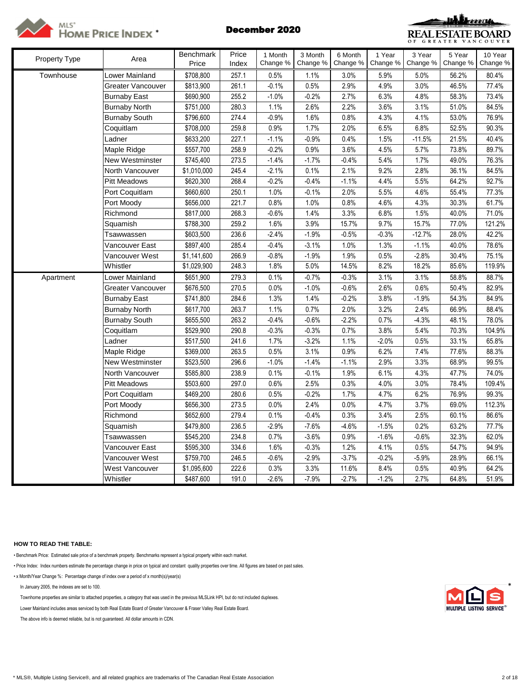



| Property Type | Area                 | <b>Benchmark</b> | Price | 1 Month  | 3 Month  | 6 Month  | 1 Year   | 3 Year   | 5 Year   | 10 Year  |
|---------------|----------------------|------------------|-------|----------|----------|----------|----------|----------|----------|----------|
|               |                      | Price            | Index | Change % | Change % | Change % | Change % | Change % | Change % | Change % |
| Townhouse     | Lower Mainland       | \$708,800        | 257.1 | 0.5%     | 1.1%     | 3.0%     | 5.9%     | 5.0%     | 56.2%    | 80.4%    |
|               | Greater Vancouver    | \$813,900        | 261.1 | $-0.1%$  | 0.5%     | 2.9%     | 4.9%     | 3.0%     | 46.5%    | 77.4%    |
|               | <b>Burnaby East</b>  | \$690,900        | 255.2 | $-1.0%$  | $-0.2%$  | 2.7%     | 6.3%     | 4.8%     | 58.3%    | 73.4%    |
|               | <b>Burnaby North</b> | \$751,000        | 280.3 | 1.1%     | 2.6%     | 2.2%     | 3.6%     | 3.1%     | 51.0%    | 84.5%    |
|               | <b>Burnaby South</b> | \$796,600        | 274.4 | $-0.9%$  | 1.6%     | 0.8%     | 4.3%     | 4.1%     | 53.0%    | 76.9%    |
|               | Coquitlam            | \$708,000        | 259.8 | 0.9%     | 1.7%     | 2.0%     | 6.5%     | 6.8%     | 52.5%    | 90.3%    |
|               | Ladner               | \$633,200        | 227.1 | $-1.1%$  | $-0.9%$  | 0.4%     | 1.5%     | $-11.5%$ | 21.5%    | 40.4%    |
|               | Maple Ridge          | \$557,700        | 258.9 | $-0.2%$  | 0.9%     | 3.6%     | 4.5%     | 5.7%     | 73.8%    | 89.7%    |
|               | New Westminster      | \$745,400        | 273.5 | $-1.4%$  | $-1.7%$  | $-0.4%$  | 5.4%     | 1.7%     | 49.0%    | 76.3%    |
|               | North Vancouver      | \$1,010,000      | 245.4 | $-2.1%$  | 0.1%     | 2.1%     | 9.2%     | 2.8%     | 36.1%    | 84.5%    |
|               | Pitt Meadows         | \$620,300        | 268.4 | $-0.2%$  | $-0.4%$  | $-1.1%$  | 4.4%     | 5.5%     | 64.2%    | 92.7%    |
|               | Port Coquitlam       | \$660,600        | 250.1 | 1.0%     | $-0.1%$  | 2.0%     | 5.5%     | 4.6%     | 55.4%    | 77.3%    |
|               | Port Moody           | \$656,000        | 221.7 | 0.8%     | 1.0%     | 0.8%     | 4.6%     | 4.3%     | 30.3%    | 61.7%    |
|               | Richmond             | \$817,000        | 268.3 | $-0.6%$  | 1.4%     | 3.3%     | 6.8%     | 1.5%     | 40.0%    | 71.0%    |
|               | Squamish             | \$788,300        | 259.2 | 1.6%     | 3.9%     | 15.7%    | 9.7%     | 15.7%    | 77.0%    | 121.2%   |
|               | Tsawwassen           | \$603,500        | 236.6 | $-2.4%$  | $-1.9%$  | $-0.5%$  | $-0.3%$  | $-12.7%$ | 28.0%    | 42.2%    |
|               | Vancouver East       | \$897,400        | 285.4 | $-0.4%$  | $-3.1%$  | 1.0%     | 1.3%     | $-1.1%$  | 40.0%    | 78.6%    |
|               | Vancouver West       | \$1,141,600      | 266.9 | $-0.8%$  | $-1.9%$  | 1.9%     | 0.5%     | $-2.8%$  | 30.4%    | 75.1%    |
|               | Whistler             | \$1,029,900      | 248.3 | 1.8%     | 5.0%     | 14.5%    | 8.2%     | 18.2%    | 85.6%    | 119.9%   |
| Apartment     | Lower Mainland       | \$651,900        | 279.3 | 0.1%     | $-0.7%$  | $-0.3%$  | 3.1%     | 3.1%     | 58.8%    | 88.7%    |
|               | Greater Vancouver    | \$676,500        | 270.5 | 0.0%     | $-1.0%$  | $-0.6%$  | 2.6%     | 0.6%     | 50.4%    | 82.9%    |
|               | <b>Burnaby East</b>  | \$741,800        | 284.6 | 1.3%     | 1.4%     | $-0.2%$  | 3.8%     | $-1.9%$  | 54.3%    | 84.9%    |
|               | <b>Burnaby North</b> | \$617,700        | 263.7 | 1.1%     | 0.7%     | 2.0%     | 3.2%     | 2.4%     | 66.9%    | 88.4%    |
|               | <b>Burnaby South</b> | \$655,500        | 263.2 | $-0.4%$  | $-0.6%$  | $-2.2%$  | 0.7%     | $-4.3%$  | 48.1%    | 78.0%    |
|               | Coquitlam            | \$529,900        | 290.8 | $-0.3%$  | $-0.3%$  | 0.7%     | 3.8%     | 5.4%     | 70.3%    | 104.9%   |
|               | Ladner               | \$517,500        | 241.6 | 1.7%     | $-3.2%$  | 1.1%     | $-2.0%$  | 0.5%     | 33.1%    | 65.8%    |
|               | Maple Ridge          | \$369,000        | 263.5 | 0.5%     | 3.1%     | 0.9%     | 6.2%     | 7.4%     | 77.6%    | 88.3%    |
|               | New Westminster      | \$523,500        | 296.6 | $-1.0%$  | $-1.4%$  | $-1.1%$  | 2.9%     | 3.3%     | 68.9%    | 99.5%    |
|               | North Vancouver      | \$585,800        | 238.9 | 0.1%     | $-0.1%$  | 1.9%     | 6.1%     | 4.3%     | 47.7%    | 74.0%    |
|               | Pitt Meadows         | \$503,600        | 297.0 | 0.6%     | 2.5%     | 0.3%     | 4.0%     | 3.0%     | 78.4%    | 109.4%   |
|               | Port Coquitlam       | \$469,200        | 280.6 | 0.5%     | $-0.2%$  | 1.7%     | 4.7%     | 6.2%     | 76.9%    | 99.3%    |
|               | Port Moody           | \$656,300        | 273.5 | 0.0%     | 2.4%     | 0.0%     | 4.7%     | 3.7%     | 69.0%    | 112.3%   |
|               | Richmond             | \$652,600        | 279.4 | 0.1%     | $-0.4%$  | 0.3%     | 3.4%     | 2.5%     | 60.1%    | 86.6%    |
|               | Squamish             | \$479,800        | 236.5 | $-2.9%$  | $-7.6%$  | $-4.6%$  | $-1.5%$  | 0.2%     | 63.2%    | 77.7%    |
|               | Tsawwassen           | \$545,200        | 234.8 | 0.7%     | $-3.6%$  | 0.9%     | $-1.6%$  | $-0.6%$  | 32.3%    | 62.0%    |
|               | Vancouver East       | \$595,300        | 334.6 | 1.6%     | $-0.3%$  | 1.2%     | 4.1%     | 0.5%     | 54.7%    | 94.9%    |
|               | Vancouver West       | \$759,700        | 246.5 | $-0.6%$  | $-2.9%$  | $-3.7%$  | $-0.2%$  | $-5.9%$  | 28.9%    | 66.1%    |
|               | West Vancouver       | \$1,095,600      | 222.6 | 0.3%     | 3.3%     | 11.6%    | 8.4%     | 0.5%     | 40.9%    | 64.2%    |
|               | Whistler             | \$487,600        | 191.0 | $-2.6%$  | $-7.9%$  | $-2.7%$  | $-1.2%$  | 2.7%     | 64.8%    | 51.9%    |

## **HOW TO READ THE TABLE:**

• Benchmark Price: Estimated sale price of a benchmark property. Benchmarks represent a typical property within each market.

• Price Index: Index numbers estimate the percentage change in price on typical and constant quality properties over time. All figures are based on past sales.

• x Month/Year Change %: Percentage change of index over a period of x month(s)/year(s)

In January 2005, the indexes are set to 100. \*

Townhome properties are similar to attached properties, a category that was used in the previous MLSLink HPI, but do not included duplexes.

Lower Mainland includes areas serviced by both Real Estate Board of Greater Vancouver & Fraser Valley Real Estate Board.

The above info is deemed reliable, but is not guaranteed. All dollar amounts in CDN.

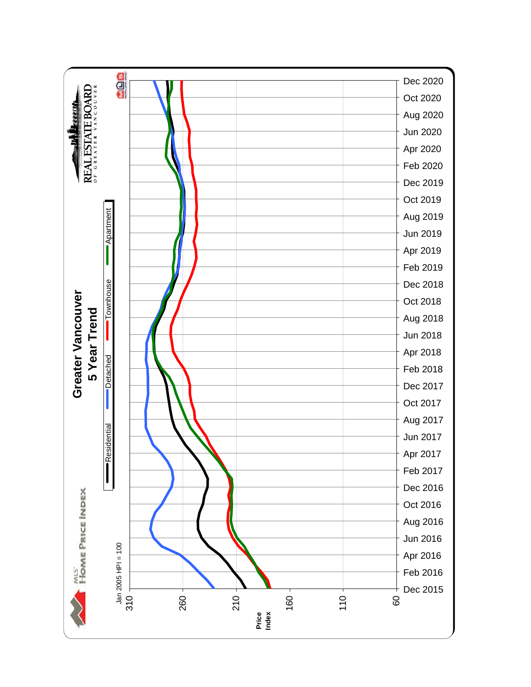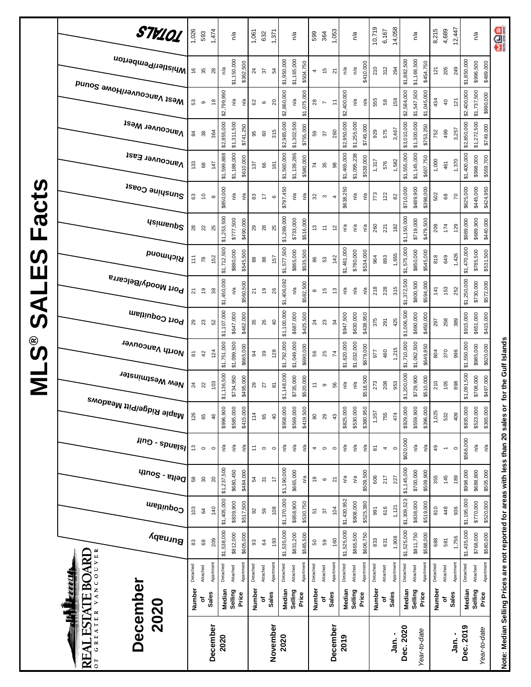| \$1,400,000<br>\$1,188,000<br>\$1,139,286<br>\$1,465,000<br>\$1,095,238<br>\$1,145,000<br>\$1,599,888<br>\$1,560,000<br>\$1,555,000<br>Vancouver East<br>\$610,000<br>\$580,000<br>\$539,000<br>\$607,750<br>1,000<br>1,582<br>1,370<br>1,317<br>576<br>461<br>133<br>147<br>137<br>161<br>$^{\rm 63}$<br>66<br>35<br>$\mathcal{L}$<br>$_{98}$<br>Sunshine Coast<br>\$489,900<br>\$625,000<br>\$850,000<br>\$797,450<br>\$710,000<br>\$638,250<br>\$398,000<br>ηá<br>773<br>502<br>n/a<br>n/a<br>122<br>ηã<br>n/a<br>n/a<br>$\overline{c}$<br>83<br>$^{\rm 63}$<br>3<br>17<br>32<br>82<br>20<br>$\mathbf \Omega$<br>$\boldsymbol{\infty}$<br>$\infty$<br>4<br>\$1,253,500<br>\$1,289,000<br>\$1,150,000<br>\$777,500<br>\$490,000<br>\$733,000<br>\$719,000<br>\$989,000<br>\$516,000<br>\$479,500<br><b>Asimsup2</b><br>260<br>209<br>174<br>221<br>182<br>129<br>n/a<br>്ദ<br>n/a<br>29<br>$28$<br>25<br>28<br>22<br>25<br>13<br>Ξ<br>$\tilde{c}$<br>\$1,712,500<br>\$1,577,500<br>\$1,575,000<br>\$1,470,000<br>\$1,461,000<br>\$880,000<br>\$545,500<br>\$865,000<br>\$535,500<br>\$780,000<br>\$534,000<br>\$850,000<br>\$545,000<br>Richmond<br>1,426<br>1,655<br>893<br>818<br>649<br>142<br>964<br>152<br>111<br>157<br>78<br>$^{\tt 8}$<br>$88$<br>86<br>53<br>Port Moody/Belcarra<br>\$1,250,000<br>\$1,450,000<br>\$1,372,500<br>\$1,406,092<br>\$560,500<br>\$582,500<br>\$800,500<br>\$594,000<br>228<br>218<br>315<br>153<br>n/a<br>n/a<br>141<br>252<br>്ദ<br>n/a<br>$\overline{9}$<br>n/a<br>$\overline{6}$<br>$\overline{z}$<br>26<br>$\frac{1}{2}$<br>$\frac{3}{2}$<br>21<br>38<br>$\infty$<br>Port Coquitlam<br>$26\,$<br>29<br>23<br>వి<br>$\overline{4}$<br>$^{24}$<br>34<br>S <sub>2</sub> | \$1,107,000<br>\$462,000<br>\$647,000<br>North Vancouver<br>\$1,751,000<br>\$1,099,500<br>\$665,000<br>124<br>94<br>39<br>5<br>42<br>New Westminster<br>\$1,136,500<br>\$734,950<br>\$495,000<br>103<br>24<br>$_{29}$<br>22<br><sup>Maple Ridge/Pitt Meadows</sup> | $\mu$ ng - spuelsl<br>n/a<br>n/a<br>$\frac{3}{2}$<br>Ρá<br>n⁄a<br>n/a<br>$\div$<br>n/a<br>$\circ$<br>$\circ$<br>$\circ$<br>$\circ$ |                                                                                                                              | $q_{10}$ elta - South<br>$30\,$<br>$\overline{3}$<br>58<br>$\overline{c}$<br>54<br>$\overline{1}$<br>n/a<br>\$1,405,000<br>\$1,370,000<br>\$839,900<br>\$858,900<br>\$517,500<br>\$530,750<br>Coquitlam<br>108<br>140<br>103<br>59<br>\$<br>9 |
|------------------------------------------------------------------------------------------------------------------------------------------------------------------------------------------------------------------------------------------------------------------------------------------------------------------------------------------------------------------------------------------------------------------------------------------------------------------------------------------------------------------------------------------------------------------------------------------------------------------------------------------------------------------------------------------------------------------------------------------------------------------------------------------------------------------------------------------------------------------------------------------------------------------------------------------------------------------------------------------------------------------------------------------------------------------------------------------------------------------------------------------------------------------------------------------------------------------------------------------------------------------------------------------------------------------------------------------------------------------------------------------------------------------------------------------------------------------------------------------------------------------------------------------------------------------------------------------------------------------------------------------------------------------------------------------------------------------|--------------------------------------------------------------------------------------------------------------------------------------------------------------------------------------------------------------------------------------------------------------------|------------------------------------------------------------------------------------------------------------------------------------|------------------------------------------------------------------------------------------------------------------------------|-----------------------------------------------------------------------------------------------------------------------------------------------------------------------------------------------------------------------------------------------|
|                                                                                                                                                                                                                                                                                                                                                                                                                                                                                                                                                                                                                                                                                                                                                                                                                                                                                                                                                                                                                                                                                                                                                                                                                                                                                                                                                                                                                                                                                                                                                                                                                                                                                                                  |                                                                                                                                                                                                                                                                    | \$735,000<br>\$520,000<br>27<br>$\overline{8}$                                                                                     | \$585,000<br>\$415,000<br>\$958,000<br>\$569,000<br>\$419,500<br>\$996,900<br>114<br>126<br>$\overline{a}$<br>46<br>65<br>65 | \$1,237,500<br>\$1,190,000<br>\$680,450<br>\$665,000<br>\$484,000                                                                                                                                                                             |
|                                                                                                                                                                                                                                                                                                                                                                                                                                                                                                                                                                                                                                                                                                                                                                                                                                                                                                                                                                                                                                                                                                                                                                                                                                                                                                                                                                                                                                                                                                                                                                                                                                                                                                                  |                                                                                                                                                                                                                                                                    |                                                                                                                                    |                                                                                                                              |                                                                                                                                                                                                                                               |
|                                                                                                                                                                                                                                                                                                                                                                                                                                                                                                                                                                                                                                                                                                                                                                                                                                                                                                                                                                                                                                                                                                                                                                                                                                                                                                                                                                                                                                                                                                                                                                                                                                                                                                                  |                                                                                                                                                                                                                                                                    |                                                                                                                                    |                                                                                                                              |                                                                                                                                                                                                                                               |
|                                                                                                                                                                                                                                                                                                                                                                                                                                                                                                                                                                                                                                                                                                                                                                                                                                                                                                                                                                                                                                                                                                                                                                                                                                                                                                                                                                                                                                                                                                                                                                                                                                                                                                                  |                                                                                                                                                                                                                                                                    | \$1,148,000                                                                                                                        |                                                                                                                              |                                                                                                                                                                                                                                               |
|                                                                                                                                                                                                                                                                                                                                                                                                                                                                                                                                                                                                                                                                                                                                                                                                                                                                                                                                                                                                                                                                                                                                                                                                                                                                                                                                                                                                                                                                                                                                                                                                                                                                                                                  |                                                                                                                                                                                                                                                                    |                                                                                                                                    |                                                                                                                              |                                                                                                                                                                                                                                               |
|                                                                                                                                                                                                                                                                                                                                                                                                                                                                                                                                                                                                                                                                                                                                                                                                                                                                                                                                                                                                                                                                                                                                                                                                                                                                                                                                                                                                                                                                                                                                                                                                                                                                                                                  |                                                                                                                                                                                                                                                                    |                                                                                                                                    |                                                                                                                              |                                                                                                                                                                                                                                               |
|                                                                                                                                                                                                                                                                                                                                                                                                                                                                                                                                                                                                                                                                                                                                                                                                                                                                                                                                                                                                                                                                                                                                                                                                                                                                                                                                                                                                                                                                                                                                                                                                                                                                                                                  |                                                                                                                                                                                                                                                                    |                                                                                                                                    |                                                                                                                              |                                                                                                                                                                                                                                               |
|                                                                                                                                                                                                                                                                                                                                                                                                                                                                                                                                                                                                                                                                                                                                                                                                                                                                                                                                                                                                                                                                                                                                                                                                                                                                                                                                                                                                                                                                                                                                                                                                                                                                                                                  |                                                                                                                                                                                                                                                                    |                                                                                                                                    |                                                                                                                              |                                                                                                                                                                                                                                               |
|                                                                                                                                                                                                                                                                                                                                                                                                                                                                                                                                                                                                                                                                                                                                                                                                                                                                                                                                                                                                                                                                                                                                                                                                                                                                                                                                                                                                                                                                                                                                                                                                                                                                                                                  | 128                                                                                                                                                                                                                                                                |                                                                                                                                    |                                                                                                                              |                                                                                                                                                                                                                                               |
|                                                                                                                                                                                                                                                                                                                                                                                                                                                                                                                                                                                                                                                                                                                                                                                                                                                                                                                                                                                                                                                                                                                                                                                                                                                                                                                                                                                                                                                                                                                                                                                                                                                                                                                  | \$1,100,000<br>\$1,792,000                                                                                                                                                                                                                                         |                                                                                                                                    |                                                                                                                              |                                                                                                                                                                                                                                               |
|                                                                                                                                                                                                                                                                                                                                                                                                                                                                                                                                                                                                                                                                                                                                                                                                                                                                                                                                                                                                                                                                                                                                                                                                                                                                                                                                                                                                                                                                                                                                                                                                                                                                                                                  | \$687,000<br>\$1,049,000                                                                                                                                                                                                                                           |                                                                                                                                    |                                                                                                                              |                                                                                                                                                                                                                                               |
|                                                                                                                                                                                                                                                                                                                                                                                                                                                                                                                                                                                                                                                                                                                                                                                                                                                                                                                                                                                                                                                                                                                                                                                                                                                                                                                                                                                                                                                                                                                                                                                                                                                                                                                  | \$425,500<br>\$690,000                                                                                                                                                                                                                                             |                                                                                                                                    |                                                                                                                              |                                                                                                                                                                                                                                               |
|                                                                                                                                                                                                                                                                                                                                                                                                                                                                                                                                                                                                                                                                                                                                                                                                                                                                                                                                                                                                                                                                                                                                                                                                                                                                                                                                                                                                                                                                                                                                                                                                                                                                                                                  | 56                                                                                                                                                                                                                                                                 | $\tilde{t}$                                                                                                                        | 80<br>4                                                                                                                      | $\overline{9}$<br>5                                                                                                                                                                                                                           |
|                                                                                                                                                                                                                                                                                                                                                                                                                                                                                                                                                                                                                                                                                                                                                                                                                                                                                                                                                                                                                                                                                                                                                                                                                                                                                                                                                                                                                                                                                                                                                                                                                                                                                                                  | 23<br>25                                                                                                                                                                                                                                                           | ၜ                                                                                                                                  | 29<br>$\circ$                                                                                                                | $\mathbf{\circ}$<br>$\sqrt{2}$                                                                                                                                                                                                                |
|                                                                                                                                                                                                                                                                                                                                                                                                                                                                                                                                                                                                                                                                                                                                                                                                                                                                                                                                                                                                                                                                                                                                                                                                                                                                                                                                                                                                                                                                                                                                                                                                                                                                                                                  | $\overline{7}$                                                                                                                                                                                                                                                     | 56                                                                                                                                 | 43<br>$\circ$                                                                                                                | $\overline{\mathbf{z}}$<br>104                                                                                                                                                                                                                |
|                                                                                                                                                                                                                                                                                                                                                                                                                                                                                                                                                                                                                                                                                                                                                                                                                                                                                                                                                                                                                                                                                                                                                                                                                                                                                                                                                                                                                                                                                                                                                                                                                                                                                                                  | \$947,500<br>\$1,620,000                                                                                                                                                                                                                                           | ηã                                                                                                                                 | \$825,000<br>Ρā                                                                                                              | n/a<br>\$1,430,952                                                                                                                                                                                                                            |
|                                                                                                                                                                                                                                                                                                                                                                                                                                                                                                                                                                                                                                                                                                                                                                                                                                                                                                                                                                                                                                                                                                                                                                                                                                                                                                                                                                                                                                                                                                                                                                                                                                                                                                                  | \$630,000<br>\$1,032,000                                                                                                                                                                                                                                           | n/a                                                                                                                                | \$530,000<br>n/a                                                                                                             | n/a<br>\$808,000                                                                                                                                                                                                                              |
|                                                                                                                                                                                                                                                                                                                                                                                                                                                                                                                                                                                                                                                                                                                                                                                                                                                                                                                                                                                                                                                                                                                                                                                                                                                                                                                                                                                                                                                                                                                                                                                                                                                                                                                  | \$438,950<br>\$679,000                                                                                                                                                                                                                                             | \$518,500                                                                                                                          | \$380,950<br>n/a                                                                                                             | \$509,500<br>\$525,380                                                                                                                                                                                                                        |
|                                                                                                                                                                                                                                                                                                                                                                                                                                                                                                                                                                                                                                                                                                                                                                                                                                                                                                                                                                                                                                                                                                                                                                                                                                                                                                                                                                                                                                                                                                                                                                                                                                                                                                                  | 375<br>977                                                                                                                                                                                                                                                         | 273                                                                                                                                | 1,357<br>5                                                                                                                   | 606<br>991                                                                                                                                                                                                                                    |
|                                                                                                                                                                                                                                                                                                                                                                                                                                                                                                                                                                                                                                                                                                                                                                                                                                                                                                                                                                                                                                                                                                                                                                                                                                                                                                                                                                                                                                                                                                                                                                                                                                                                                                                  | 291<br>460                                                                                                                                                                                                                                                         | 208                                                                                                                                | 755<br>$\overline{4}$                                                                                                        | 217<br>616                                                                                                                                                                                                                                    |
|                                                                                                                                                                                                                                                                                                                                                                                                                                                                                                                                                                                                                                                                                                                                                                                                                                                                                                                                                                                                                                                                                                                                                                                                                                                                                                                                                                                                                                                                                                                                                                                                                                                                                                                  | 425<br>1,215                                                                                                                                                                                                                                                       | 953                                                                                                                                | 474<br>$\circ$                                                                                                               | 227<br>1,121                                                                                                                                                                                                                                  |
|                                                                                                                                                                                                                                                                                                                                                                                                                                                                                                                                                                                                                                                                                                                                                                                                                                                                                                                                                                                                                                                                                                                                                                                                                                                                                                                                                                                                                                                                                                                                                                                                                                                                                                                  | \$1,006,500<br>\$1,710,000                                                                                                                                                                                                                                         | \$1,200,000                                                                                                                        | \$929,000<br>\$620,000                                                                                                       | \$1,145,000<br>\$1,309,523                                                                                                                                                                                                                    |
|                                                                                                                                                                                                                                                                                                                                                                                                                                                                                                                                                                                                                                                                                                                                                                                                                                                                                                                                                                                                                                                                                                                                                                                                                                                                                                                                                                                                                                                                                                                                                                                                                                                                                                                  | \$690,000<br>\$1,062,500                                                                                                                                                                                                                                           | \$729,900                                                                                                                          | \$559,900<br>n/a                                                                                                             | \$700,000<br>\$838,000                                                                                                                                                                                                                        |
|                                                                                                                                                                                                                                                                                                                                                                                                                                                                                                                                                                                                                                                                                                                                                                                                                                                                                                                                                                                                                                                                                                                                                                                                                                                                                                                                                                                                                                                                                                                                                                                                                                                                                                                  | \$450,000<br>\$649,850                                                                                                                                                                                                                                             | \$510,000                                                                                                                          | \$396,000<br>n/a                                                                                                             | \$509,900<br>\$519,000                                                                                                                                                                                                                        |
|                                                                                                                                                                                                                                                                                                                                                                                                                                                                                                                                                                                                                                                                                                                                                                                                                                                                                                                                                                                                                                                                                                                                                                                                                                                                                                                                                                                                                                                                                                                                                                                                                                                                                                                  | 297<br>804                                                                                                                                                                                                                                                         | 210                                                                                                                                | 1,025<br>49                                                                                                                  | 355<br>810                                                                                                                                                                                                                                    |
|                                                                                                                                                                                                                                                                                                                                                                                                                                                                                                                                                                                                                                                                                                                                                                                                                                                                                                                                                                                                                                                                                                                                                                                                                                                                                                                                                                                                                                                                                                                                                                                                                                                                                                                  | 258<br>370                                                                                                                                                                                                                                                         | 105                                                                                                                                | 532<br>$\overline{\phantom{a}}$                                                                                              | 145<br>448                                                                                                                                                                                                                                    |
|                                                                                                                                                                                                                                                                                                                                                                                                                                                                                                                                                                                                                                                                                                                                                                                                                                                                                                                                                                                                                                                                                                                                                                                                                                                                                                                                                                                                                                                                                                                                                                                                                                                                                                                  | 389<br>996                                                                                                                                                                                                                                                         | 898                                                                                                                                | 409<br>$\circ$                                                                                                               | 189<br>936                                                                                                                                                                                                                                    |
|                                                                                                                                                                                                                                                                                                                                                                                                                                                                                                                                                                                                                                                                                                                                                                                                                                                                                                                                                                                                                                                                                                                                                                                                                                                                                                                                                                                                                                                                                                                                                                                                                                                                                                                  | \$915,000<br>\$1,550,000                                                                                                                                                                                                                                           | \$1,091,500                                                                                                                        | \$835,000<br>\$566,000                                                                                                       | \$998,000<br>\$1,195,000                                                                                                                                                                                                                      |
| \$998,000<br>\$445,000<br>\$689,900<br>\$785,500<br>\$730,000                                                                                                                                                                                                                                                                                                                                                                                                                                                                                                                                                                                                                                                                                                                                                                                                                                                                                                                                                                                                                                                                                                                                                                                                                                                                                                                                                                                                                                                                                                                                                                                                                                                    | \$651,000<br>\$985,000                                                                                                                                                                                                                                             | \$708,000                                                                                                                          | \$523,000<br>n/a                                                                                                             | \$688,800<br>\$770,000                                                                                                                                                                                                                        |
| \$559,700<br>\$424,950<br>\$440,000<br>\$531,500<br>\$572,000                                                                                                                                                                                                                                                                                                                                                                                                                                                                                                                                                                                                                                                                                                                                                                                                                                                                                                                                                                                                                                                                                                                                                                                                                                                                                                                                                                                                                                                                                                                                                                                                                                                    | \$415,000<br>\$620,000                                                                                                                                                                                                                                             | \$497,000                                                                                                                          | \$365,000<br>n/a                                                                                                             | \$505,000<br>\$520,000                                                                                                                                                                                                                        |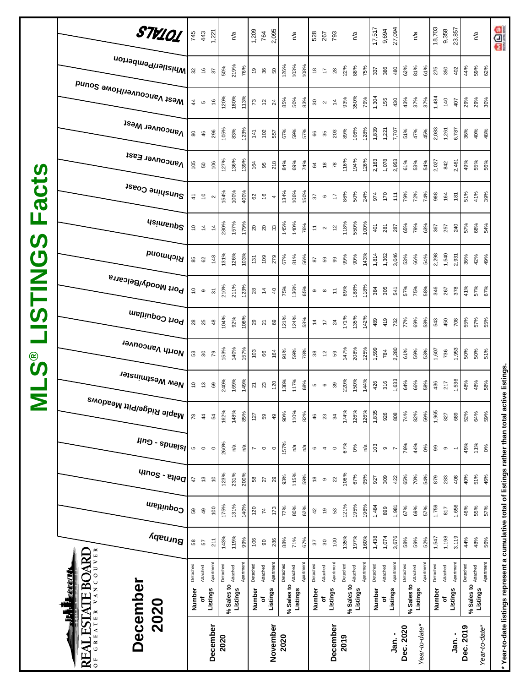|                                                  | <b>LESTATE BOARD</b><br>December<br>2020<br>GREATER<br>REAL<br>$\overline{0}$ |                |               | December          | 2020     |                                 |           |                                              |                      | November   | 2020       |          |          |                                |                               | December              | 2019     |                                        |           |          | ່.<br>ສຸ                  | Dec. 2020 |            | Year-to-date* |          |          | Jan. -                   | Dec. 2019                  | Year-to-date*      | * Year-to-date listings represent a cumulative total of listings rather than total active listings. |
|--------------------------------------------------|-------------------------------------------------------------------------------|----------------|---------------|-------------------|----------|---------------------------------|-----------|----------------------------------------------|----------------------|------------|------------|----------|----------|--------------------------------|-------------------------------|-----------------------|----------|----------------------------------------|-----------|----------|---------------------------|-----------|------------|---------------|----------|----------|--------------------------|----------------------------|--------------------|-----------------------------------------------------------------------------------------------------|
|                                                  | <b>TAR ili</b>                                                                | Number         | đ             | Listings          |          | % Sales to Attached<br>Listings |           | Number                                       | đ                    | Listings   | % Sales to | Listings |          | Number                         | ৳                             | Listings              |          | % Sales to <b>Attached</b><br>Listings |           | Number   | Listings<br>٥             |           | % Sales to | Listings      | Number   | ٥        | Listings                 | % Sales to <b>Attached</b> | Listings           |                                                                                                     |
|                                                  | VANCOUVER                                                                     | Detached       | Attached      | Apartment         | Detached |                                 | Apartment | Detached                                     | Attached             | Apartment  | Detached   | Attached | Apartmen | Detached                       | Attached                      | Apartmen <sup>®</sup> | Detached |                                        | Apartment | Detached | Apartment<br>Attached     | Detached  | Attached   | Apartmen      | Detached | Attached | Apartment                | Detached                   | Apartment          |                                                                                                     |
|                                                  | Burnaby                                                                       | 58             | 57            | 211               | 143%     | 119%                            | 99%       | 106                                          | $\rm S$              | 286        | 88%        | 71%      | 67%      | 57                             | $\rm ^{30}$                   | 100                   | 135%     | 197%                                   | 160%      | 1,438    | 3,676<br>1,074            | 58%       | 59%        | 52%           | 1,547    | 1,198    | 3,119                    | 44%                        | 48%<br>56%         |                                                                                                     |
|                                                  | Coquitlam                                                                     | 89             | 49            | 100               | 175%     | 131%                            | 140%      | 120                                          | $\rm 74$             | 173        | 77%        | 80%      | 62%      | $\sqrt{2}$                     | $\overline{\mathbf{e}}$       | S3                    | 121%     | 195%                                   | 196%      | 1,484    | 1,981<br>899              | 67%       | 69%        | 57%           | 1,759    | 817      | 1,656                    | 46%                        | 55%<br>57%         |                                                                                                     |
|                                                  | $q_{100}$ s - $e_{1100}$                                                      | 47             | $\tilde{c}$   | $\tilde{c}$       | 123%     | 231%                            | 200%      | $58\,$                                       | $\overline{27}$      | $29$       | 93%        | 115%     | 59%      | $\overset{\circ}{\phantom{a}}$ | $\circ$                       | $\overline{2}$        | 106%     | 67%                                    | 95%       | 927      | 309<br>422                | 65%       | 70%        | 54%           | 879      | 283      | 408                      | 40%                        | 51%<br>46%         |                                                                                                     |
|                                                  | $\mu$ ng - spuelsl                                                            | Ю              | $\circ$       | $\circ$           | 260%     | $\mathbb{R}^{\mathsf{N}}$       | ηã        | $\overline{\phantom{a}}$                     | $\circ$              | $\circ$    | 157%       | n⁄a      | ηá       | $\mathbf  \circ$               | $\overline{4}$                | $\circ$               | 67%      | 0%                                     | ρÅ        | 103      | $\circ$<br>$\overline{ }$ | 79%       | 44%        | 0%            | 99       | $\circ$  | $\overline{\phantom{a}}$ | 49%                        | 11%<br>0%          |                                                                                                     |
| 2                                                | <sup>Maple Ridge/Pitt Meadows</sup>                                           | 78             | $\frac{4}{3}$ | 54                | 162%     | 148%                            | 85%       | 127                                          | 59                   | 49         | 90%        | 110%     | 82%      | 46                             | $23\,$                        | 34                    | 174%     | 126%                                   | 126%      | 1,835    | 926<br>808                | 74%       | 82%        | 59%           | 1,965    | 827      | 689                      | 52%                        | 64%<br>59%         |                                                                                                     |
|                                                  | New Westminster                                                               | °              | $\frac{1}{2}$ | 69                | 240%     | 169%                            | 149%      | $\begin{matrix} 2 & 3 \\ 2 & 3 \end{matrix}$ |                      | 120        | 138%       | 117%     | 68%      |                                | <u> ၈</u>                     | 39                    | 220%     | 150%                                   | 144%      | 426      | 1,633<br>316              | 64%       | 66%        | 58%           | 436      | 217      | 1,536                    | 48%                        | 48%<br>58%         |                                                                                                     |
| <b>©</b><br>ဟ                                    | North Vancouver                                                               | 53             | 80            | $5\sigma$         | 153%     | 140%                            | 157%      | $103$                                        | 66                   | 164        | 91%        | 59%      | 78%      | $38\,$                         | $\tilde{5}$                   | 59                    | 147%     | 208%                                   | 125%      | 1,599    | 2,280<br>784              | 61%       | 59%        | 53%           | 1,607    | 736      | 1,953                    | 50%                        | 50%<br>51%         |                                                                                                     |
|                                                  | Port Coquitlam                                                                | $28$           | 25            | 48                | 104%     | 92%                             | 108%      | $29$ $21$                                    |                      | 69         | 121%       | 124%     | 58%      | $\frac{4}{4}$                  | $\overleftarrow{\phantom{a}}$ | $\overline{24}$       | 171%     | 135%                                   | 142%      | 489      | 419<br>732                | 77%       | 69%        | 58%           | 543      | 450      | 708                      | 55%                        | 57%<br>55%         |                                                                                                     |
| <b>NILS</b>                                      | Port Moody/Belcarra                                                           | $\overline{c}$ | $\circ$       | $\overline{5}$    | 210%     | 211%                            | 123%      | $28$                                         | $\frac{1}{4}$        | 40         | 75%        | 136%     | 65%      | $\, \circ \,$                  | $\infty$                      | $\tilde{r}$           | 89%      | 188%                                   | 118%      | 384      | 305<br>541                | 57%       | 75%        | 58%           | 346      | 267      | 378                      | 41%                        | 57%<br>67%         |                                                                                                     |
| $\boldsymbol{\sigma}$                            | Richmond                                                                      | 85             | 62            | 148               | 131%     | 126%                            | 103%      | 131                                          | 109                  | 279        | 67%        | 81%      | 56%      | 28                             | 59                            | 99                    | 99%      | 90%                                    | 143%      | 1,814    | 3,046<br>1,362            | 53%       | 66%        | 54%           | 2,298    | 1,540    | 2,931                    | 36%                        | 42%<br>49%         |                                                                                                     |
| ட<br><b>S</b>                                    | <b>Usimenp<sup>2</sup></b>                                                    | $\overline{c}$ | $\tilde{z}$   | $\overline{4}$    | 280%     | 157%                            | 179%      | $20^{2}$                                     |                      | 33         | 145%       | 140%     | 76%      | $\overleftarrow{\tau}$         | $\sim$                        | $\tilde{c}$           | 118%     | 550%                                   | 100%      | 401      | 281<br>287                | 65%       | 79%        | 63%           | 367      | 257      | 240                      | 57%                        | 68%<br>54%         |                                                                                                     |
| $\mathbf{d}$<br>$\overline{\boldsymbol{\sigma}}$ | Sunshine Coast                                                                | $\frac{4}{1}$  | $\tilde{e}$   | $\mathbf{\Omega}$ | 154%     | 100%                            | 400%      | 62                                           | $\frac{6}{5}$        | 4          | 134%       | 106%     | 150%     | 57                             | $\mathbf \circ$               | $\ddot{ }$            | 86%      | 50%                                    | 24%       | 974      | 170<br>111                | 79%       | 72%        | 74%           | 988      | 164      | 181                      | 51%                        | 41%<br>39%         |                                                                                                     |
| $\boldsymbol{\omega}$                            | Vancouver East                                                                | 105            | 50            | 106               | 127%     | 136%                            | 139%      | 164                                          | 95                   | 218        | 84%        | 69%      | 74%      | 64                             | $\frac{8}{2}$                 | 78                    | 116%     | 194%                                   | 126%      | 2,163    | 1,078<br>2,953            | 61%       | 53%        | 54%           | 2,027    | 842      | 2,461                    | 49%                        | 56%<br>55%         |                                                                                                     |
|                                                  | <b>Vancouver West</b>                                                         | 80             | 46            | 296               | 105%     | 83%                             | 123%      | 141                                          | 102                  | 557        | 67%        | 59%      | 57%      | 66                             | 35                            | 203                   | 89%      | 106%                                   | 128%      | 1,839    | 7,707<br>1,221            | 51%       | 47%        | 45%           | 2,083    | 1,261    | 6,787                    | 36%                        | 40%<br>48%         |                                                                                                     |
|                                                  | Mest Vancouver/Howe Sound                                                     | $\frac{4}{4}$  | စ             | 9                 | 120%     | 180%                            | 113%      | $73\,$                                       | $\tilde{\mathbf{r}}$ | $^{24}$    | 85%        | 50%      | 83%      | $30\,$                         | $\sim$                        | $\ddot{4}$            | 93%      | 350%                                   | 79%       | 1,304    | 155<br>430                | 43%       | 37%        | 37%           | 1,484    | 140      | 407                      | 29%                        | 29%<br>30%         |                                                                                                     |
|                                                  | Whistler/Pemberton                                                            | 32             | $\frac{6}{5}$ | 57                | 50%      | 219%                            | 76%       | 6                                            | 36                   | ${\tt S0}$ | 126%       | 103%     | 108%     | $\frac{8}{2}$                  | $\overline{1}$                | 28                    | 22%      | 88%                                    | 75%       | 337      | 386<br>480                | 62%       | 81%        | 61%           | 275      | 350      | 402                      | 44%                        | 59%<br>62%         |                                                                                                     |
|                                                  | STV101                                                                        | 745            | 443           | 1,221             |          | n/a                             |           | 1,209                                        | 764                  | 2,095      |            | n/a      |          | 528                            | 267                           | 793                   |          | n/a                                    |           | 17,517   | 27,094<br>9,694           |           | n/a        |               | 18,703   | 9,358    | 23,857                   |                            | $n^{\prime\alpha}$ | <b>GOG</b>                                                                                          |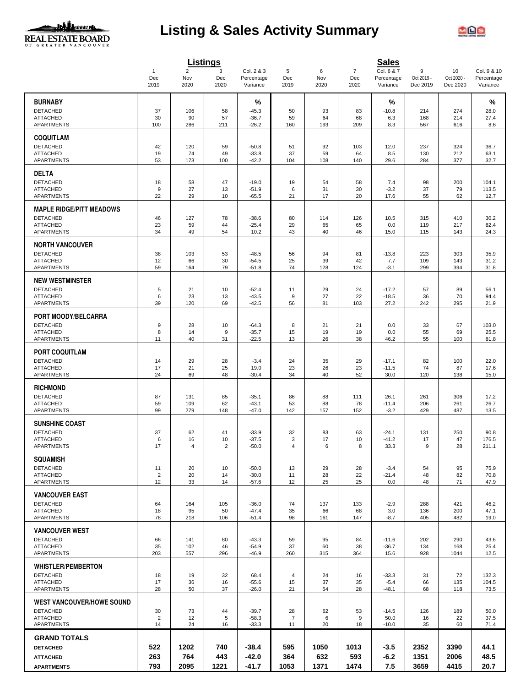

# **Listing & Sales Activity Summary**



|                                              |                                         | <b>Listings</b>       |                |                          |                      |           |                       | <b>Sales</b>             |                 |                  |                           |
|----------------------------------------------|-----------------------------------------|-----------------------|----------------|--------------------------|----------------------|-----------|-----------------------|--------------------------|-----------------|------------------|---------------------------|
|                                              | $\mathbf{1}$<br>$\mathop{\mathsf{Dec}}$ | $\overline{2}$<br>Nov | 3<br>Dec       | Col. 2 & 3<br>Percentage | 5<br>Dec             | 6<br>Nov  | $\overline{7}$<br>Dec | Col. 6 & 7<br>Percentage | 9<br>Oct 2019 - | 10<br>Oct 2020 - | Col. 9 & 10<br>Percentage |
|                                              | 2019                                    | 2020                  | 2020           | Variance                 | 2019                 | 2020      | 2020                  | Variance                 | Dec 2019        | Dec 2020         | Variance                  |
| <b>BURNABY</b>                               |                                         |                       |                | %                        |                      |           |                       | %                        |                 |                  | %                         |
| <b>DETACHED</b><br><b>ATTACHED</b>           | 37<br>30                                | 106<br>90             | 58<br>57       | $-45.3$                  | 50<br>59             | 93<br>64  | 83<br>68              | $-10.8$                  | 214             | 274<br>214       | 28.0                      |
| <b>APARTMENTS</b>                            | 100                                     | 286                   | 211            | $-36.7$<br>$-26.2$       | 160                  | 193       | 209                   | 6.3<br>8.3               | 168<br>567      | 616              | 27.4<br>8.6               |
| <b>COQUITLAM</b>                             |                                         |                       |                |                          |                      |           |                       |                          |                 |                  |                           |
| <b>DETACHED</b>                              | 42                                      | 120                   | 59             | $-50.8$                  | 51                   | 92        | 103                   | 12.0                     | 237             | 324              | 36.7                      |
| <b>ATTACHED</b>                              | 19                                      | 74                    | 49             | $-33.8$                  | 37                   | 59        | 64                    | 8.5                      | 130             | 212              | 63.1                      |
| <b>APARTMENTS</b>                            | 53                                      | 173                   | 100            | $-42.2$                  | 104                  | 108       | 140                   | 29.6                     | 284             | 377              | 32.7                      |
| <b>DELTA</b>                                 |                                         |                       |                |                          |                      |           |                       |                          |                 |                  |                           |
| <b>DETACHED</b>                              | 18                                      | 58                    | 47             | $-19.0$                  | 19                   | 54        | 58                    | 7.4                      | 98              | 200              | 104.1                     |
| <b>ATTACHED</b>                              | 9                                       | 27                    | 13             | $-51.9$                  | 6                    | 31        | 30                    | $-3.2$                   | 37              | 79               | 113.5                     |
| APARTMENTS                                   | 22                                      | 29                    | 10             | $-65.5$                  | 21                   | 17        | 20                    | 17.6                     | 55              | 62               | 12.7                      |
| <b>MAPLE RIDGE/PITT MEADOWS</b>              |                                         |                       |                |                          |                      |           |                       |                          |                 |                  |                           |
| <b>DETACHED</b>                              | 46                                      | 127                   | 78             | $-38.6$                  | 80                   | 114       | 126                   | 10.5                     | 315             | 410              | 30.2                      |
| <b>ATTACHED</b><br><b>APARTMENTS</b>         | 23<br>34                                | 59<br>49              | 44<br>54       | $-25.4$<br>10.2          | 29<br>43             | 65<br>40  | 65<br>46              | 0.0<br>15.0              | 119<br>115      | 217<br>143       | 82.4<br>24.3              |
|                                              |                                         |                       |                |                          |                      |           |                       |                          |                 |                  |                           |
| <b>NORTH VANCOUVER</b>                       |                                         |                       |                |                          |                      |           |                       |                          |                 |                  |                           |
| <b>DETACHED</b>                              | 38                                      | 103                   | 53             | $-48.5$                  | 56                   | 94        | 81                    | $-13.8$                  | 223             | 303              | 35.9                      |
| <b>ATTACHED</b><br><b>APARTMENTS</b>         | 12<br>59                                | 66<br>164             | 30<br>79       | $-54.5$<br>$-51.8$       | 25<br>74             | 39<br>128 | 42<br>124             | 7.7<br>$-3.1$            | 109<br>299      | 143<br>394       | 31.2<br>31.8              |
|                                              |                                         |                       |                |                          |                      |           |                       |                          |                 |                  |                           |
| <b>NEW WESTMINSTER</b>                       |                                         |                       |                |                          |                      |           |                       |                          |                 |                  |                           |
| <b>DETACHED</b>                              | 5                                       | 21                    | 10             | $-52.4$                  | 11<br>9              | 29        | 24                    | $-17.2$                  | 57              | 89<br>70         | 56.1                      |
| <b>ATTACHED</b><br>APARTMENTS                | 6<br>39                                 | 23<br>120             | 13<br>69       | $-43.5$<br>$-42.5$       | 56                   | 27<br>81  | 22<br>103             | $-18.5$<br>27.2          | 36<br>242       | 295              | 94.4<br>21.9              |
|                                              |                                         |                       |                |                          |                      |           |                       |                          |                 |                  |                           |
| PORT MOODY/BELCARRA                          |                                         |                       |                |                          |                      |           |                       |                          |                 |                  |                           |
| <b>DETACHED</b><br><b>ATTACHED</b>           | 9<br>8                                  | 28<br>14              | 10<br>9        | $-64.3$<br>$-35.7$       | 8<br>15              | 21<br>19  | 21<br>19              | 0.0<br>0.0               | 33<br>55        | 67<br>69         | 103.0<br>25.5             |
| APARTMENTS                                   | 11                                      | 40                    | 31             | $-22.5$                  | 13                   | 26        | 38                    | 46.2                     | 55              | 100              | 81.8                      |
|                                              |                                         |                       |                |                          |                      |           |                       |                          |                 |                  |                           |
| <b>PORT COQUITLAM</b>                        |                                         |                       |                |                          |                      |           |                       |                          |                 |                  |                           |
| <b>DETACHED</b><br><b>ATTACHED</b>           | 14<br>17                                | 29<br>21              | 28<br>25       | $-3.4$<br>19.0           | 24<br>23             | 35<br>26  | 29<br>23              | $-17.1$<br>$-11.5$       | 82<br>74        | 100<br>87        | 22.0<br>17.6              |
| <b>APARTMENTS</b>                            | 24                                      | 69                    | 48             | $-30.4$                  | 34                   | 40        | 52                    | 30.0                     | 120             | 138              | 15.0                      |
|                                              |                                         |                       |                |                          |                      |           |                       |                          |                 |                  |                           |
| <b>RICHMOND</b><br><b>DETACHED</b>           |                                         | 131                   | 85             | $-35.1$                  | 86                   | 88        | 111                   | 26.1                     | 261             | 306              |                           |
| <b>ATTACHED</b>                              | 87<br>59                                | 109                   | 62             | $-43.1$                  | 53                   | 88        | 78                    | $-11.4$                  | 206             | 261              | 17.2<br>26.7              |
| APARTMENTS                                   | 99                                      | 279                   | 148            | $-47.0$                  | 142                  | 157       | 152                   | $-3.2$                   | 429             | 487              | 13.5                      |
| <b>SUNSHINE COAST</b>                        |                                         |                       |                |                          |                      |           |                       |                          |                 |                  |                           |
| <b>DETACHED</b>                              | 37                                      | 62                    | 41             | $-33.9$                  | 32                   | 83        | 63                    | $-24.1$                  | 131             | 250              | 90.8                      |
| <b>ATTACHED</b>                              | 6                                       | 16                    | 10             | $-37.5$                  | 3                    | 17        | 10                    | $-41.2$                  | 17              | 47               | 176.5                     |
| <b>APARTMENTS</b>                            | 17                                      | $\overline{4}$        | $\overline{2}$ | $-50.0$                  | $\overline{4}$       | 6         | 8                     | 33.3                     | 9               | 28               | 211.1                     |
| <b>SQUAMISH</b>                              |                                         |                       |                |                          |                      |           |                       |                          |                 |                  |                           |
| <b>DETACHED</b>                              | 11                                      | 20                    | 10             | $-50.0$                  | 13                   | 29        | 28                    | $-3.4$                   | 54              | 95               | 75.9                      |
| <b>ATTACHED</b>                              | $\overline{2}$                          | 20                    | 14             | $-30.0$                  | 11                   | 28        | 22                    | $-21.4$                  | 48              | 82               | 70.8                      |
| <b>APARTMENTS</b>                            | 12                                      | 33                    | 14             | $-57.6$                  | 12                   | 25        | 25                    | 0.0                      | 48              | 71               | 47.9                      |
| <b>VANCOUVER EAST</b>                        |                                         |                       |                |                          |                      |           |                       |                          |                 |                  |                           |
| <b>DETACHED</b>                              | 64                                      | 164                   | 105            | $-36.0$                  | 74                   | 137       | 133                   | $-2.9$                   | 288             | 421              | 46.2                      |
| <b>ATTACHED</b><br>APARTMENTS                | 18<br>78                                | 95<br>218             | 50<br>106      | $-47.4$<br>$-51.4$       | 35<br>98             | 66<br>161 | 68<br>147             | 3.0<br>$-8.7$            | 136<br>405      | 200<br>482       | 47.1<br>19.0              |
|                                              |                                         |                       |                |                          |                      |           |                       |                          |                 |                  |                           |
| <b>VANCOUVER WEST</b>                        |                                         |                       |                |                          |                      |           |                       |                          |                 |                  |                           |
| <b>DETACHED</b><br><b>ATTACHED</b>           | 66<br>35                                | 141<br>102            | 80<br>46       | $-43.3$<br>$-54.9$       | 59<br>37             | 95<br>60  | 84<br>38              | $-11.6$<br>$-36.7$       | 202<br>134      | 290<br>168       | 43.6<br>25.4              |
| <b>APARTMENTS</b>                            | 203                                     | 557                   | 296            | $-46.9$                  | 260                  | 315       | 364                   | 15.6                     | 928             | 1044             | 12.5                      |
|                                              |                                         |                       |                |                          |                      |           |                       |                          |                 |                  |                           |
| <b>WHISTLER/PEMBERTON</b><br><b>DETACHED</b> |                                         |                       |                |                          |                      |           |                       | $-33.3$                  |                 | 72               | 132.3                     |
| <b>ATTACHED</b>                              | 18<br>17                                | 19<br>36              | 32<br>16       | 68.4<br>$-55.6$          | $\overline{4}$<br>15 | 24<br>37  | 16<br>35              | $-5.4$                   | 31<br>66        | 135              | 104.5                     |
| APARTMENTS                                   | 28                                      | 50                    | 37             | $-26.0$                  | 21                   | 54        | 28                    | $-48.1$                  | 68              | 118              | 73.5                      |
| <b>WEST VANCOUVER/HOWE SOUND</b>             |                                         |                       |                |                          |                      |           |                       |                          |                 |                  |                           |
| <b>DETACHED</b>                              | 30                                      | 73                    | 44             | $-39.7$                  | 28                   | 62        | 53                    | $-14.5$                  | 126             | 189              | 50.0                      |
| <b>ATTACHED</b>                              | $\overline{2}$                          | 12                    | 5              | $-58.3$                  | $\overline{7}$       | 6         | 9                     | 50.0                     | 16              | 22               | 37.5                      |
| APARTMENTS                                   | 14                                      | 24                    | 16             | $-33.3$                  | 11                   | 20        | 18                    | $-10.0$                  | 35              | 60               | 71.4                      |
| <b>GRAND TOTALS</b>                          |                                         |                       |                |                          |                      |           |                       |                          |                 |                  |                           |
| <b>DETACHED</b>                              | 522                                     | 1202                  | 740            | -38.4                    | 595                  | 1050      | 1013                  | -3.5                     | 2352            | 3390             | 44.1                      |
| <b>ATTACHED</b>                              | 263                                     | 764                   | 443            | $-42.0$                  | 364                  | 632       | 593                   | -6.2                     | 1351            | 2006             | 48.5                      |
| <b>APARTMENTS</b>                            | 793                                     | 2095                  | 1221           | -41.7                    | 1053                 | 1371      | 1474                  | 7.5                      | 3659            | 4415             | 20.7                      |